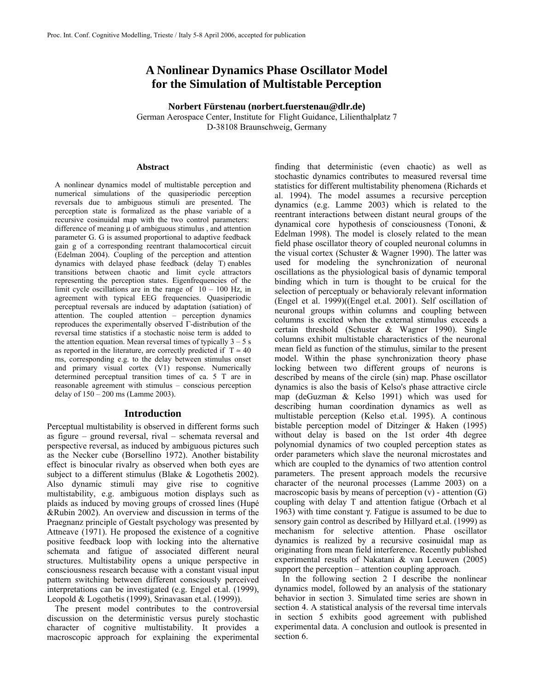# **A Nonlinear Dynamics Phase Oscillator Model for the Simulation of Multistable Perception**

**Norbert Fürstenau (norbert.fuerstenau@dlr.de)**  German Aerospace Center, Institute for Flight Guidance, Lilienthalplatz 7 D-38108 Braunschweig, Germany

#### **Abstract**

A nonlinear dynamics model of multistable perception and numerical simulations of the quasiperiodic perception reversals due to ambiguous stimuli are presented. The perception state is formalized as the phase variable of a recursive cosinuidal map with the two control parameters: difference of meaning μ of ambiguous stimulus , and attention parameter G. G is assumed proportional to adaptive feedback gain g of a corresponding reentrant thalamocortical circuit (Edelman 2004). Coupling of the perception and attention dynamics with delayed phase feedback (delay T) enables transitions between chaotic and limit cycle attractors representing the perception states. Eigenfrequencies of the limit cycle oscillations are in the range of  $10 - 100$  Hz, in agreement with typical EEG frequencies. Quasiperiodic perceptual reversals are induced by adaptation (satiation) of attention. The coupled attention – perception dynamics reproduces the experimentally observed Γ-distribution of the reversal time statistics if a stochastic noise term is added to the attention equation. Mean reversal times of typically  $3 - 5$  s as reported in the literature, are correctly predicted if  $T \approx 40$ ms, corresponding e.g. to the delay between stimulus onset and primary visual cortex (V1) response. Numerically determined perceptual transition times of ca. 5 T are in reasonable agreement with stimulus – conscious perception delay of 150 – 200 ms (Lamme 2003).

#### **Introduction**

Perceptual multistability is observed in different forms such as figure – ground reversal, rival – schemata reversal and perspective reversal, as induced by ambiguous pictures such as the Necker cube (Borsellino 1972). Another bistability effect is binocular rivalry as observed when both eyes are subject to a different stimulus (Blake & Logothetis 2002). Also dynamic stimuli may give rise to cognitive multistability, e.g. ambiguous motion displays such as plaids as induced by moving groups of crossed lines (Hupé &Rubin 2002). An overview and discussion in terms of the Praegnanz principle of Gestalt psychology was presented by Attneave (1971). He proposed the existence of a cognitive positive feedback loop with locking into the alternative schemata and fatigue of associated different neural structures. Multistability opens a unique perspective in consciousness research because with a constant visual input pattern switching between different consciously perceived interpretations can be investigated (e.g. Engel et.al. (1999), Leopold & Logothetis (1999), Srinavasan et.al. (1999)).

The present model contributes to the controversial discussion on the deterministic versus purely stochastic character of cognitive multistability. It provides a macroscopic approach for explaining the experimental

finding that deterministic (even chaotic) as well as stochastic dynamics contributes to measured reversal time statistics for different multistability phenomena (Richards et al. 1994). The model assumes a recursive perception dynamics (e.g. Lamme 2003) which is related to the reentrant interactions between distant neural groups of the dynamical core hypothesis of consciousness (Tononi, & Edelman 1998). The model is closely related to the mean field phase oscillator theory of coupled neuronal columns in the visual cortex (Schuster & Wagner 1990). The latter was used for modeling the synchronization of neuronal oscillations as the physiological basis of dynamic temporal binding which in turn is thought to be cruical for the selection of perceptualy or behavioraly relevant information (Engel et al. 1999)((Engel et.al. 2001). Self oscillation of neuronal groups within columns and coupling between columns is excited when the external stimulus exceeds a certain threshold (Schuster & Wagner 1990). Single columns exhibit multistable characteristics of the neuronal mean field as function of the stimulus, similar to the present model. Within the phase synchronization theory phase locking between two different groups of neurons is described by means of the circle (sin) map. Phase oscillator dynamics is also the basis of Kelso's phase attractive circle map (deGuzman & Kelso 1991) which was used for describing human coordination dynamics as well as multistable perception (Kelso et.al. 1995). A continous bistable perception model of Ditzinger & Haken (1995) without delay is based on the 1st order 4th degree polynomial dynamics of two coupled perception states as order parameters which slave the neuronal microstates and which are coupled to the dynamics of two attention control parameters. The present approach models the recursive character of the neuronal processes (Lamme 2003) on a macroscopic basis by means of perception  $(v)$  - attention  $(G)$ coupling with delay T and attention fatigue (Orbach et al 1963) with time constant γ. Fatigue is assumed to be due to sensory gain control as described by Hillyard et.al. (1999) as mechanism for selective attention. Phase oscillator dynamics is realized by a recursive cosinuidal map as originating from mean field interference. Recently published experimental results of Nakatani & van Leeuwen (2005) support the perception – attention coupling approach.

In the following section 2 I describe the nonlinear dynamics model, followed by an analysis of the stationary behavior in section 3. Simulated time series are shown in section 4. A statistical analysis of the reversal time intervals in section 5 exhibits good agreement with published experimental data. A conclusion and outlook is presented in section 6.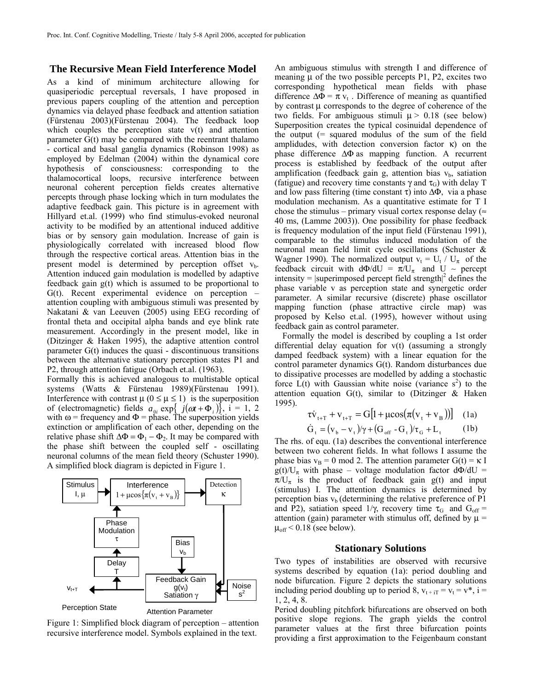# **The Recursive Mean Field Interference Model**

As a kind of minimum architecture allowing for quasiperiodic perceptual reversals, I have proposed in previous papers coupling of the attention and perception dynamics via delayed phase feedback and attention satiation (Fürstenau 2003)(Fürstenau 2004). The feedback loop which couples the perception state v(t) and attention parameter G(t) may be compared with the reentrant thalamo - cortical and basal ganglia dynamics (Robinson 1998) as employed by Edelman (2004) within the dynamical core hypothesis of consciousness: corresponding to the thalamocortical loops, recursive interference between neuronal coherent perception fields creates alternative percepts through phase locking which in turn modulates the adaptive feedback gain. This picture is in agreement with Hillyard et.al. (1999) who find stimulus-evoked neuronal activity to be modified by an attentional induced additive bias or by sensory gain modulation. Increase of gain is physiologically correlated with increased blood flow through the respective cortical areas. Attention bias in the present model is determined by perception offset  $v<sub>b</sub>$ . Attention induced gain modulation is modelled by adaptive feedback gain g(t) which is assumed to be proportional to G(t). Recent experimental evidence on perception – attention coupling with ambiguous stimuli was presented by Nakatani & van Leeuven (2005) using EEG recording of frontal theta and occipital alpha bands and eye blink rate measurement. Accordingly in the present model, like in (Ditzinger & Haken 1995), the adaptive attention control parameter G(t) induces the quasi - discontinuous transitions between the alternative stationary perception states P1 and P2, through attention fatigue (Orbach et.al. (1963).

Formally this is achieved analogous to multistable optical systems (Watts & Fürstenau 1989)(Fürstenau 1991). Interference with contrast  $\mu$  ( $0 \le \mu \le 1$ ) is the superposition of (electromagnetic) fields  $a_{0i}$  exp{ $j(\omega t + \Phi_i)$ }, i = 1, 2 with  $\omega$  = frequency and  $\Phi$  = phase. The superposition yields extinction or amplification of each other, depending on the relative phase shift  $\Delta \Phi = \Phi_1 - \Phi_2$ . It may be compared with the phase shift between the coupled self - oscillating neuronal columns of the mean field theory (Schuster 1990). A simplified block diagram is depicted in Figure 1.



Figure 1: Simplified block diagram of perception – attention recursive interference model. Symbols explained in the text.

An ambiguous stimulus with strength I and difference of meaning  $\mu$  of the two possible percepts P1, P2, excites two corresponding hypothetical mean fields with phase difference  $\Delta \Phi = \pi v_t$ . Difference of meaning as quantified by contrast μ corresponds to the degree of coherence of the two fields. For ambiguous stimuli  $\mu$  > 0.18 (see below) Superposition creates the typical cosinuidal dependence of the output (= squared modulus of the sum of the field amplidudes, with detection conversion factor  $\kappa$ ) on the phase difference ΔΦ as mapping function. A recurrent process is established by feedback of the output after amplification (feedback gain g, attention bias  $v<sub>b</sub>$ , satiation (fatigue) and recovery time constants  $\gamma$  and  $\tau$ <sub>G</sub>) with delay T and low pass filtering (time constant  $\tau$ ) into  $\Delta \Phi$ , via a phase modulation mechanism. As a quantitative estimate for T I chose the stimulus – primary visual cortex response delay ( $\approx$ 40 ms, (Lamme 2003)). One possibility for phase feedback is frequency modulation of the input field (Fürstenau 1991), comparable to the stimulus induced modulation of the neuronal mean field limit cycle oscillations (Schuster & Wagner 1990). The normalized output  $v_t = U_t / U_{\pi}$  of the feedback circuit with  $d\Phi/dU = \pi/U_{\pi}$  and U ~ percept intensity  $= |\text{superimposed percept field strength}|^2$  defines the phase variable v as perception state and synergetic order parameter. A similar recursive (discrete) phase oscillator mapping function (phase attractive circle map) was proposed by Kelso et.al. (1995), however without using feedback gain as control parameter.

Formally the model is described by coupling a 1st order differential delay equation for v(t) (assuming a strongly damped feedback system) with a linear equation for the control parameter dynamics G(t). Random disturbances due to dissipative processes are modelled by adding a stochastic force  $\dot{L}(t)$  with Gaussian white noise (variance  $s^2$ ) to the attention equation  $G(t)$ , similar to (Ditzinger & Haken 1995).

$$
\tau \dot{v}_{t+T} + v_{t+T} = G[1 + \mu \cos(\pi (v_t + v_B))]
$$
 (1a)

$$
\dot{G}_t = (v_b - v_t) / \gamma + (G_{\text{off}} - G_t) / \tau_G + L_t \tag{1b}
$$

The rhs. of equ. (1a) describes the conventional interference between two coherent fields. In what follows I assume the phase bias  $v_B = 0 \text{ mod } 2$ . The attention parameter  $G(t) = \kappa I$  $g(t)/U_{\pi}$  with phase – voltage modulation factor d $\Phi/dU$  =  $\pi/U_{\pi}$  is the product of feedback gain g(t) and input (stimulus) I. The attention dynamics is determined by perception bias  $v<sub>b</sub>$  (determining the relative preference of P1 and P2), satiation speed  $1/\gamma$ , recovery time  $\tau_{\rm G}$  and  $G_{\rm off}$  = attention (gain) parameter with stimulus off, defined by  $\mu$  =  $\mu_{off}$  < 0.18 (see below).

#### **Stationary Solutions**

Two types of instabilities are observed with recursive systems described by equation (1a): period doubling and node bifurcation. Figure 2 depicts the stationary solutions including period doubling up to period 8,  $v_{t+1} = v_t = v^*$ , i = 1, 2, 4, 8.

Period doubling pitchfork bifurcations are observed on both positive slope regions. The graph yields the control parameter values at the first three bifurcation points providing a first approximation to the Feigenbaum constant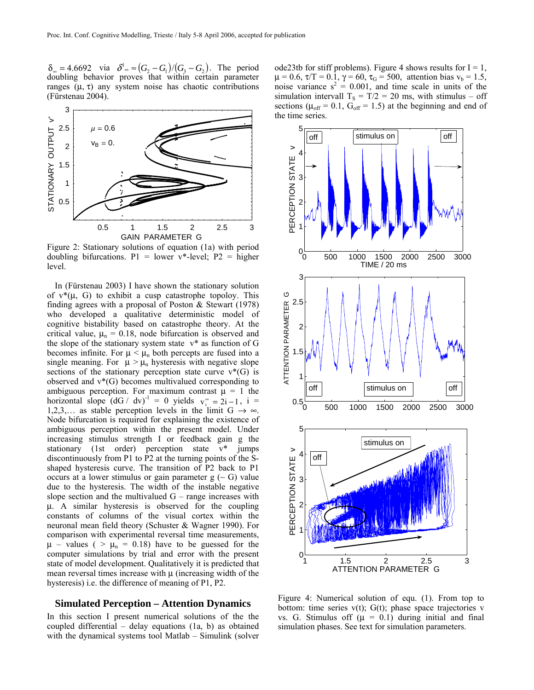$\delta_{\infty} = 4.6692$  via  $\delta^1_{\infty} \approx (G_2 - G_1)/(G_3 - G_2)$ . The period doubling behavior proves that within certain parameter ranges (μ, τ) any system noise has chaotic contributions (Fürstenau 2004).



Figure 2: Stationary solutions of equation (1a) with period doubling bifurcations.  $P1 =$  lower v\*-level;  $P2 =$  higher level.

In (Fürstenau 2003) I have shown the stationary solution of  $v^*(\mu, G)$  to exhibit a cusp catastrophe topoloy. This finding agrees with a proposal of Poston & Stewart (1978) who developed a qualitative deterministic model of cognitive bistability based on catastrophe theory. At the critical value,  $\mu_n = 0.18$ , node bifurcation is observed and the slope of the stationary system state  $v^*$  as function of G becomes infinite. For  $\mu < \mu_n$  both percepts are fused into a single meaning. For  $\mu > \mu_n$  hysteresis with negative slope sections of the stationary perception state curve  $v^*(G)$  is observed and  $v*(G)$  becomes multivalued corresponding to ambiguous perception. For maximum contrast  $\mu = 1$  the horizontal slope  $(dG / dv)^{-1} = 0$  yields  $v_i^* = 2i - 1$ ,  $i =$ 1,2,3,… as stable perception levels in the limit G  $\rightarrow \infty$ . Node bifurcation is required for explaining the existence of ambiguous perception within the present model. Under increasing stimulus strength I or feedback gain g the stationary (1st order) perception state v\* jumps discontinuously from P1 to P2 at the turning points of the Sshaped hysteresis curve. The transition of P2 back to P1 occurs at a lower stimulus or gain parameter g (∼ G) value due to the hysteresis. The width of the instable negative slope section and the multivalued  $G$  – range increases with μ. A similar hysteresis is observed for the coupling constants of columns of the visual cortex within the neuronal mean field theory (Schuster & Wagner 1990). For comparison with experimental reversal time measurements,  $\mu$  – values ( >  $\mu$ <sub>n</sub> = 0.18) have to be guessed for the computer simulations by trial and error with the present state of model development. Qualitatively it is predicted that mean reversal times increase with μ (increasing width of the hysteresis) i.e. the difference of meaning of P1, P2.

## **Simulated Perception – Attention Dynamics**

In this section I present numerical solutions of the the coupled differential – delay equations (1a, b) as obtained with the dynamical systems tool Matlab – Simulink (solver ode23tb for stiff problems). Figure 4 shows results for  $I = 1$ ,  $\mu = 0.6$ ,  $\tau/T = 0.1$ ,  $\gamma = 60$ ,  $\tau_G = 500$ , attention bias  $v_b = 1.5$ , noise variance  $s^2 = 0.001$ , and time scale in units of the simulation intervall  $T_s = T/2 = 20$  ms, with stimulus – off sections ( $\mu_{off} = 0.1$ ,  $G_{off} = 1.5$ ) at the beginning and end of the time series.



Figure 4: Numerical solution of equ. (1). From top to bottom: time series  $v(t)$ ;  $G(t)$ ; phase space trajectories v vs. G. Stimulus off  $(\mu = 0.1)$  during initial and final simulation phases. See text for simulation parameters.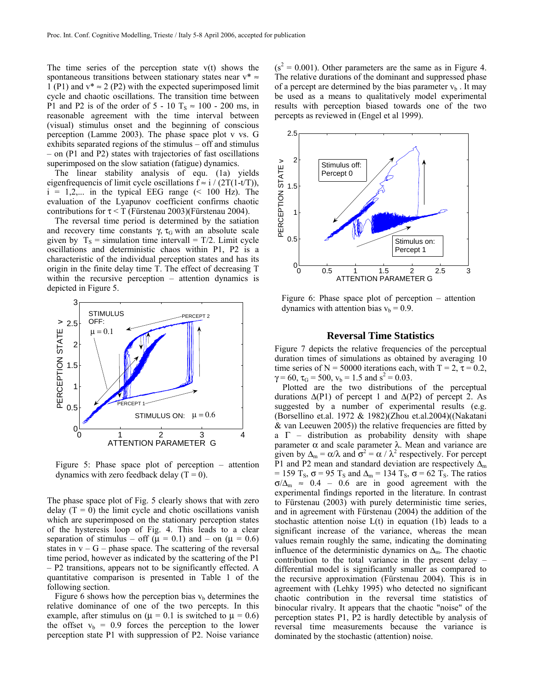The time series of the perception state  $v(t)$  shows the spontaneous transitions between stationary states near  $v^* \approx$ 1 (P1) and  $v^* \approx 2$  (P2) with the expected superimposed limit cycle and chaotic oscillations. The transition time between P1 and P2 is of the order of 5 - 10 T<sub>S</sub>  $\approx$  100 - 200 ms, in reasonable agreement with the time interval between (visual) stimulus onset and the beginning of conscious perception (Lamme 2003). The phase space plot v vs. G exhibits separated regions of the stimulus – off and stimulus – on (P1 and P2) states with trajectories of fast oscillations superimposed on the slow satiation (fatigue) dynamics.

The linear stability analysis of equ. (1a) yields eigenfrequencis of limit cycle oscillations  $f \approx i / (2T(1-t/T))$ ,  $i = 1,2,...$  in the typical EEG range (< 100 Hz). The evaluation of the Lyapunov coefficient confirms chaotic contributions for  $\tau < T$  (Fürstenau 2003)(Fürstenau 2004).

The reversal time period is determined by the satiation and recovery time constants  $\gamma$ ,  $\tau$ <sub>G</sub> with an absolute scale given by  $T_s$  = simulation time intervall = T/2. Limit cycle oscillations and deterministic chaos within P1, P2 is a characteristic of the individual perception states and has its origin in the finite delay time T. The effect of decreasing T within the recursive perception – attention dynamics is depicted in Figure 5.



Figure 5: Phase space plot of perception – attention dynamics with zero feedback delay  $(T = 0)$ .

The phase space plot of Fig. 5 clearly shows that with zero delay  $(T = 0)$  the limit cycle and chotic oscillations vanish which are superimposed on the stationary perception states of the hysteresis loop of Fig. 4. This leads to a clear separation of stimulus – off ( $\mu$  = 0.1) and – on ( $\mu$  = 0.6) states in  $v - G$  – phase space. The scattering of the reversal time period, however as indicated by the scattering of the P1 – P2 transitions, appears not to be significantly effected. A quantitative comparison is presented in Table 1 of the following section.

Figure 6 shows how the perception bias  $v<sub>b</sub>$  determines the relative dominance of one of the two percepts. In this example, after stimulus on ( $\mu = 0.1$  is switched to  $\mu = 0.6$ ) the offset  $v_b = 0.9$  forces the perception to the lower perception state P1 with suppression of P2. Noise variance

 $(s<sup>2</sup> = 0.001)$ . Other parameters are the same as in Figure 4. The relative durations of the dominant and suppressed phase of a percept are determined by the bias parameter  $v<sub>b</sub>$ . It may be used as a means to qualitatively model experimental results with perception biased towards one of the two percepts as reviewed in (Engel et al 1999).



Figure 6: Phase space plot of perception – attention dynamics with attention bias  $v_b = 0.9$ .

## **Reversal Time Statistics**

Figure 7 depicts the relative frequencies of the perceptual duration times of simulations as obtained by averaging 10 time series of N = 50000 iterations each, with T = 2,  $\tau$  = 0.2,  $\gamma = 60$ ,  $\tau_G = 500$ ,  $v_b = 1.5$  and  $s^2 = 0.03$ .

Plotted are the two distributions of the perceptual durations  $\Delta$ (P1) of percept 1 and  $\Delta$ (P2) of percept 2. As suggested by a number of experimental results (e.g. (Borsellino et.al. 1972 & 1982)(Zhou et.al.2004)((Nakatani & van Leeuwen 2005)) the relative frequencies are fitted by a  $\Gamma$  – distribution as probability density with shape parameter α and scale parameter λ. Mean and variance are given by  $\Delta_m = \alpha/\lambda$  and  $\sigma^2 = \alpha/\lambda^2$  respectively. For percept P1 and P2 mean and standard deviation are respectively  $\Delta_{m}$ = 159 T<sub>s</sub>,  $\sigma$  = 95 T<sub>s</sub> and  $\Delta$ <sub>m</sub> = 134 T<sub>s</sub>,  $\sigma$  = 62 T<sub>s</sub>. The ratios  $\sigma/\Delta_{\rm m} \approx 0.4 - 0.6$  are in good agreement with the experimental findings reported in the literature. In contrast to Fürstenau (2003) with purely deterministic time series, and in agreement with Fürstenau (2004) the addition of the stochastic attention noise  $L(t)$  in equation (1b) leads to a significant increase of the variance, whereas the mean values remain roughly the same, indicating the dominating influence of the deterministic dynamics on  $\Delta_{m}$ . The chaotic contribution to the total variance in the present delay – differential model is significantly smaller as compared to the recursive approximation (Fürstenau 2004). This is in agreement with (Lehky 1995) who detected no significant chaotic contribution in the reversal time statistics of binocular rivalry. It appears that the chaotic "noise" of the perception states P1, P2 is hardly detectible by analysis of reversal time measurements because the variance is dominated by the stochastic (attention) noise.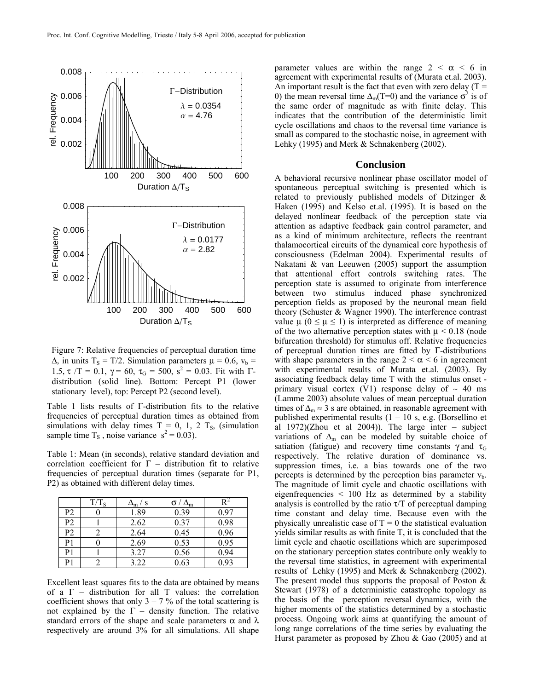

Figure 7: Relative frequencies of perceptual duration time  $\Delta$ , in units T<sub>S</sub> = T/2. Simulation parameters  $\mu$  = 0.6,  $v_b$  = 1.5,  $\tau/T = 0.1$ ,  $\gamma = 60$ ,  $\tau_G = 500$ ,  $s^2 = 0.03$ . Fit with  $\Gamma$ distribution (solid line). Bottom: Percept P1 (lower stationary level), top: Percept P2 (second level).

Table 1 lists results of Γ-distribution fits to the relative frequencies of perceptual duration times as obtained from simulations with delay times  $T = 0$ , 1, 2  $T_s$ , (simulation sample time  $T_s$ , noise variance  $s^2 = 0.03$ ).

Table 1: Mean (in seconds), relative standard deviation and correlation coefficient for  $\Gamma$  – distribution fit to relative frequencies of perceptual duration times (separate for P1, P2) as obtained with different delay times.

|                | $T/T_s$ | / S  | $\sigma / \Delta_{m}$ |      |
|----------------|---------|------|-----------------------|------|
| P <sub>2</sub> |         | 1.89 | 0.39                  | 0.97 |
| P <sub>2</sub> |         | 2.62 | 0.37                  | 0.98 |
| P <sub>2</sub> |         | 2.64 | 0.45                  | 0.96 |
| P1             |         | 2.69 | 0.53                  | 0.95 |
| P <sub>1</sub> |         | 3.27 | 0.56                  | 0.94 |
| P1             |         | 3.22 | 0.63                  | 0.93 |

Excellent least squares fits to the data are obtained by means of a  $\Gamma$  – distribution for all T values: the correlation coefficient shows that only  $3 - 7$  % of the total scattering is not explained by the  $\Gamma$  – density function. The relative standard errors of the shape and scale parameters  $\alpha$  and  $\lambda$ respectively are around 3% for all simulations. All shape

parameter values are within the range  $2 < \alpha < 6$  in agreement with experimental results of (Murata et.al. 2003). An important result is the fact that even with zero delay  $(T =$ 0) the mean reversal time  $\Delta_{m}(T=0)$  and the variance  $\sigma^{2}$  is of the same order of magnitude as with finite delay. This indicates that the contribution of the deterministic limit cycle oscillations and chaos to the reversal time variance is small as compared to the stochastic noise, in agreement with Lehky (1995) and Merk & Schnakenberg (2002).

#### **Conclusion**

A behavioral recursive nonlinear phase oscillator model of spontaneous perceptual switching is presented which is related to previously published models of Ditzinger & Haken (1995) and Kelso et.al. (1995). It is based on the delayed nonlinear feedback of the perception state via attention as adaptive feedback gain control parameter, and as a kind of minimum architecture, reflects the reentrant thalamocortical circuits of the dynamical core hypothesis of consciousness (Edelman 2004). Experimental results of Nakatani & van Leeuwen (2005) support the assumption that attentional effort controls switching rates. The perception state is assumed to originate from interference between two stimulus induced phase synchronized perception fields as proposed by the neuronal mean field theory (Schuster & Wagner 1990). The interference contrast value  $\mu$  ( $0 \le \mu \le 1$ ) is interpreted as difference of meaning of the two alternative perception states with  $\mu$  < 0.18 (node bifurcation threshold) for stimulus off. Relative frequencies of perceptual duration times are fitted by Γ-distributions with shape parameters in the range  $2 < \alpha < 6$  in agreement with experimental results of Murata et.al. (2003). By associating feedback delay time T with the stimulus onset primary visual cortex (V1) response delay of  $~\sim~$  40 ms (Lamme 2003) absolute values of mean perceptual duration times of  $\Delta_m \approx 3$  s are obtained, in reasonable agreement with published experimental results  $(1 - 10 s, e.g.$  (Borsellino et al  $1972$ )(Zhou et al  $2004$ )). The large inter – subject variations of  $\Delta_m$  can be modeled by suitable choice of satiation (fatigue) and recovery time constants  $\gamma$  and  $\tau$ <sub>G</sub> respectively. The relative duration of dominance vs. suppression times, i.e. a bias towards one of the two percepts is determined by the perception bias parameter  $v<sub>b</sub>$ . The magnitude of limit cycle and chaotic oscillations with eigenfrequencies < 100 Hz as determined by a stability analysis is controlled by the ratio  $\tau/T$  of perceptual damping time constant and delay time. Because even with the physically unrealistic case of  $T = 0$  the statistical evaluation yields similar results as with finite T, it is concluded that the limit cycle and chaotic oscillations which are superimposed on the stationary perception states contribute only weakly to the reversal time statistics, in agreement with experimental results of Lehky (1995) and Merk & Schnakenberg (2002). The present model thus supports the proposal of Poston  $\&$ Stewart (1978) of a deterministic catastrophe topology as the basis of the perception reversal dynamics, with the higher moments of the statistics determined by a stochastic process. Ongoing work aims at quantifying the amount of long range correlations of the time series by evaluating the Hurst parameter as proposed by Zhou & Gao (2005) and at